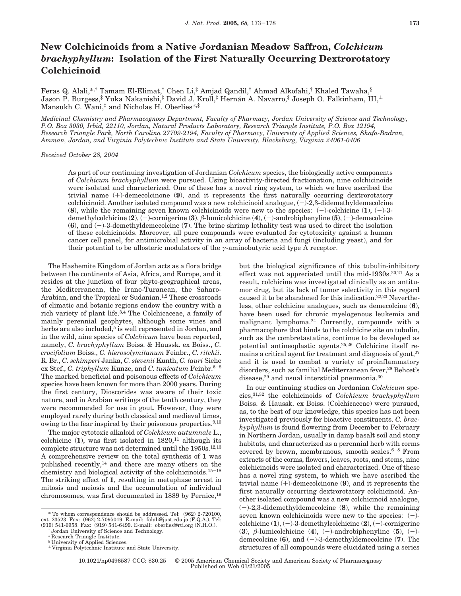## **New Colchicinoids from a Native Jordanian Meadow Saffron,** *Colchicum brachyphyllum***: Isolation of the First Naturally Occurring Dextrorotatory Colchicinoid**

Feras Q. Alali,\*,† Tamam El-Elimat,† Chen Li,‡ Amjad Qandil,† Ahmad Alkofahi,† Khaled Tawaha,§ Jason P. Burgess,<sup>‡</sup> Yuka Nakanishi,<sup>‡</sup> David J. Kroll,<sup>‡</sup> Hernán A. Navarro,<sup>‡</sup> Joseph O. Falkinham, III,<sup>⊥</sup> Mansukh C. Wani,<sup>‡</sup> and Nicholas H. Oberlies\*,<sup>‡</sup>

*Medicinal Chemistry and Pharmacognosy Department, Faculty of Pharmacy, Jordan University of Science and Technology, P.O. Box 3030, Irbid, 22110, Jordan, Natural Products Laboratory, Research Triangle Institute, P.O. Box 12194, Research Triangle Park, North Carolina 27709-2194, Faculty of Pharmacy, University of Applied Sciences, Shafa-Badran, Amman, Jordan, and Virginia Polytechnic Institute and State University, Blacksburg, Virginia 24061-0406*

*Received October 28, 2004*

As part of our continuing investigation of Jordanian *Colchicum* species, the biologically active components of *Colchicum brachyphyllum* were pursued. Using bioactivity-directed fractionation, nine colchicinoids were isolated and characterized. One of these has a novel ring system, to which we have ascribed the trivial name (+)-demecolcinone (**9**), and it represents the first naturally occurring dextrorotatory colchicinoid. Another isolated compound was a new colchicinoid analogue,  $(-)$ -2,3-didemethyldemecolcine (8), while the remaining seven known colchicinoids were new to the species:  $(-)$ -colchicine  $(1)$ ,  $(-)$ -3demethylcolchicine (**2**), (-)-cornigerine (**3**), *<sup>â</sup>*-lumicolchicine (**4**), (-)-androbiphenyline (**5**), (-)-demecolcine (**6**), and (-)-3-demethyldemecolcine (**7**). The brine shrimp lethality test was used to direct the isolation of these colchicinoids. Moreover, all pure compounds were evaluated for cytotoxicity against a human cancer cell panel, for antimicrobial activity in an array of bacteria and fungi (including yeast), and for their potential to be allosteric modulators of the *γ*-aminobutyric acid type A receptor.

The Hashemite Kingdom of Jordan acts as a flora bridge between the continents of Asia, Africa, and Europe, and it resides at the junction of four phyto-geographical areas, the Mediterranean, the Irano-Turanean, the Saharo-Arabian, and the Tropical or Sudanian.<sup>1,2</sup> These crossroads of climatic and botanic regions endow the country with a rich variety of plant life.3,4 The Colchicaceae, a family of mainly perennial geophytes, although some vines and herbs are also included,<sup>5</sup> is well represented in Jordan, and in the wild, nine species of *Colchicum* have been reported, namely, *C. brachyphyllum* Boiss. & Haussk. ex Boiss., *C. crocifolium* Boiss., *C. hierosolymitanum* Feinbr., *C. ritchii*. R. Br., *C. schimperi* Janka, *C. stevenii* Kunth, *C. tauri* Siehe ex Stef., *C. triphyllum* Kunze, and *C. tunicatum* Feinbr.<sup>6-8</sup> The marked beneficial and poisonous effects of *Colchicum* species have been known for more than 2000 years. During the first century, Dioscorides was aware of their toxic nature, and in Arabian writings of the tenth century, they were recommended for use in gout. However, they were employed rarely during both classical and medieval times, owing to the fear inspired by their poisonous properties.<sup>9,10</sup>

The major cytotoxic alkaloid of *Colchicum autumnale* L., colchicine  $(1)$ , was first isolated in  $1820$ ,<sup>11</sup> although its complete structure was not determined until the 1950s.12,13 A comprehensive review on the total synthesis of **1** was published recently,<sup>14</sup> and there are many others on the chemistry and biological activity of the colchicinoids.15-<sup>18</sup> The striking effect of **1**, resulting in metaphase arrest in mitosis and meiosis and the accumulation of individual chromosomes, was first documented in 1889 by Pernice,19

but the biological significance of this tubulin-inhibitory effect was not appreciated until the mid-1930s.<sup>20,21</sup> As a result, colchicine was investigated clinically as an antitumor drug, but its lack of tumor selectivity in this regard caused it to be abandoned for this indication.22,23 Nevertheless, other colchicine analogues, such as demecolcine (**6**), have been used for chronic myelogenous leukemia and malignant lymphoma.24 Currently, compounds with a pharmacophore that binds to the colchicine site on tubulin, such as the combretastatins, continue to be developed as potential antineoplastic agents.25,26 Colchicine itself remains a critical agent for treatment and diagnosis of gout, $27$ and it is used to combat a variety of proinflammatory disorders, such as familial Mediterranean fever,<sup>28</sup> Behcet's disease,29 and usual interstitial pneumonia.30

In our continuing studies on Jordanian *Colchicum* species,31,32 the colchicinoids of *Colchicum brachyphyllum* Boiss. & Haussk. ex Boiss. (Colchicaceae) were pursued, as, to the best of our knowledge, this species has not been investigated previously for bioactive constituents. *C. brachyphyllum* is found flowering from December to February in Northern Jordan, usually in damp basalt soil and stony habitats, and characterized as a perennial herb with corms covered by brown, membranous, smooth scales. $6-8$  From extracts of the corms, flowers, leaves, roots, and stems, nine colchicinoids were isolated and characterized. One of these has a novel ring system, to which we have ascribed the trivial name (+)-demecolcinone (**9**), and it represents the first naturally occurring dextrorotatory colchicinoid. Another isolated compound was a new colchicinoid analogue, (-)-2,3-didemethyldemecolcine (**8**), while the remaining seven known colchicinoids were new to the species:  $(-)$ colchicine  $(1)$ ,  $(-)$ -3-demethylcolchicine  $(2)$ ,  $(-)$ -cornigerine (3),  $\beta$ -lumicolchicine (4), (-)-androbiphenyline (5), (-)demecolcine  $(6)$ , and  $(-)$ -3-demethyldemecolcine  $(7)$ . The structures of all compounds were elucidated using a series

10.1021/np0496587 CCC: \$30.25 © 2005 American Chemical Society and American Society of Pharmacognosy Published on Web 01/21/2005

<sup>\*</sup> To whom correspondence should be addressed. Tel: (962) 2-720100, ext. 23523. Fax: (962) 2-7095019. E-mail: falali@just.edu.jo (F.Q.A.). Tel: (919) 541-6958. Fax: (919) 541-6499. E-mail: oberlies@rti.org (N.H.O.).

<sup>†</sup> Jordan University of Science and Technology.

Research Triangle Institute.

<sup>§</sup> University of Applied Sciences.

<sup>⊥</sup> Virginia Polytechnic Institute and State University.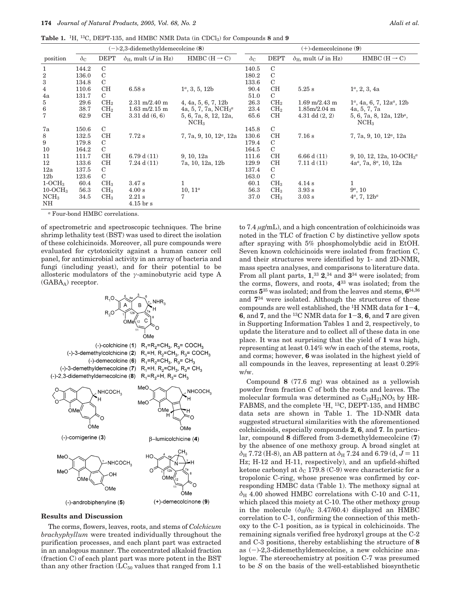**Table 1.** 1H, 13C, DEPT-135, and HMBC NMR Data (in CDCl3) for Compounds **8** and **9**

|                        | $(-)$ -2,3-didemethyldemecolcine (8) |                 |                                           |                                           | $(+)$ -demecolcinone $(9)$ |                 |                                           |                                                 |
|------------------------|--------------------------------------|-----------------|-------------------------------------------|-------------------------------------------|----------------------------|-----------------|-------------------------------------------|-------------------------------------------------|
| position               | $\delta_{\rm C}$                     | <b>DEPT</b>     | $\delta_{\rm H}$ , mult ( <i>J</i> in Hz) | HMBC $(H \rightarrow C)$                  | $\delta_{\rm C}$           | <b>DEPT</b>     | $\delta_{\rm H}$ , mult ( <i>J</i> in Hz) | HMBC $(H \rightarrow C)$                        |
| $\mathbf{1}$           | 144.2                                | $\mathcal{C}$   |                                           |                                           | 140.5                      | $\mathcal{C}$   |                                           |                                                 |
| $\,2$                  | 136.0                                | C               |                                           |                                           | 180.2                      | $\mathbf C$     |                                           |                                                 |
| 3                      | 134.8                                | $\mathcal{C}$   |                                           |                                           | 133.6                      | $\mathcal{C}$   |                                           |                                                 |
| $\overline{4}$         | 110.6                                | CН              | 6.58 s                                    | $1^a$ , 3, 5, 12b                         | 90.4                       | CН              | $5.25$ s                                  | $1^a$ , 2, 3, 4a                                |
| 4a                     | 131.7                                | C               |                                           |                                           | 51.0                       | $\mathcal{C}$   |                                           |                                                 |
| 5                      | 29.6                                 | CH <sub>2</sub> | $2.31 \text{ m}/2.40 \text{ m}$           | 4, 4a, 5, 6, 7, 12b                       | 26.3                       | CH <sub>2</sub> | $1.69 \text{ m}/2.43 \text{ m}$           | $1^a$ , 4a, 6, 7, $12a^a$ , $12b$               |
| $\,6\,$                | 38.7                                 | CH <sub>2</sub> | $1.63 \text{ m}/2.15 \text{ m}$           | 4a, 5, 7, 7a, $NCH3a$                     | 23.4                       | CH <sub>2</sub> | $1.85 \text{m}/2.04 \text{m}$             | 4a, 5, 7, 7a                                    |
| 7                      | 62.9                                 | CН              | $3.31$ dd $(6, 6)$                        | 5, 6, 7a, 8, 12, 12a,<br>NCH <sub>3</sub> | 65.6                       | CН              | 4.31 dd $(2, 2)$                          | $5, 6, 7a, 8, 12a, 12b^a$ ,<br>NCH <sub>3</sub> |
| 7a                     | 150.6                                | $\mathcal{C}$   |                                           |                                           | 145.8                      | $\mathcal{C}$   |                                           |                                                 |
| 8                      | 132.5                                | CН              | 7.72 s                                    | 7, 7a, 9, 10, $12^{\alpha}$ , 12a         | 130.6                      | CН              | 7.16 s                                    | 7, 7a, 9, 10, $12^a$ , $12a$                    |
| 9                      | 179.8                                | C               |                                           |                                           | 179.4                      | $\mathbf C$     |                                           |                                                 |
| 10                     | 164.2                                | C               |                                           |                                           | 164.5                      | C               |                                           |                                                 |
| 11                     | 111.7                                | CН              | 6.79 d(11)                                | 9, 10, 12a                                | 111.6                      | CН              | 6.66 d(11)                                | 9, 10, 12, 12a, 10-OC $H_3^a$                   |
| 12                     | 133.6                                | CН              | $7.24$ d $(11)$                           | 7a, 10, 12a, 12b                          | 129.9                      | CН              | 7.11 d(11)                                | $4a^a$ , 7a, 8 <sup>a</sup> , 10, 12a           |
| 12a                    | 137.5                                | C               |                                           |                                           | 137.4                      | $\mathcal{C}$   |                                           |                                                 |
| 12 <sub>b</sub>        | 123.6                                | $\mathcal{C}$   |                                           |                                           | 163.0                      | $\mathcal{C}$   |                                           |                                                 |
| $1-OCH3$               | 60.4                                 | CH <sub>3</sub> | 3.47 s                                    | $\mathbf{1}$                              | 60.1                       | CH <sub>3</sub> | 4.14 s                                    | 1                                               |
| $10\text{-}OCH3$       | 56.3                                 | CH <sub>3</sub> | 4.00 s                                    | $10, 11^a$                                | 56.3                       | CH <sub>3</sub> | 3.93 s                                    | $9^a$ , 10                                      |
| NCH <sub>3</sub><br>NH | 34.5                                 | CH <sub>3</sub> | $2.21$ s<br>$4.15 \,\mathrm{br}$ s        |                                           | 37.0                       | CH <sub>3</sub> | 3.03 s                                    | $4^a$ , 7, $12b^a$                              |

*<sup>a</sup>* Four-bond HMBC correlations.

of spectrometric and spectroscopic techniques. The brine shrimp lethality test (BST) was used to direct the isolation of these colchicinoids. Moreover, all pure compounds were evaluated for cytotoxicity against a human cancer cell panel, for antimicrobial activity in an array of bacteria and fungi (including yeast), and for their potential to be allosteric modulators of the *γ*-aminobutyric acid type A  $(GABA_A)$  receptor.



## **Results and Discussion**

The corms, flowers, leaves, roots, and stems of *Colchicum brachyphyllum* were treated individually throughout the purification processes, and each plant part was extracted in an analogous manner. The concentrated alkaloid fraction (fraction C) of each plant part was more potent in the BST than any other fraction  $(LC_{50}$  values that ranged from 1.1 to 7.4 *µ*g/mL), and a high concentration of colchicinoids was noted in the TLC of fraction C by distinctive yellow spots after spraying with 5% phosphomolybdic acid in EtOH. Seven known colchicinoids were isolated from fraction C, and their structures were identified by 1- and 2D-NMR, mass spectra analyses, and comparisons to literature data. From all plant parts, **1**, <sup>33</sup> **2**, <sup>34</sup> and **3**<sup>34</sup> were isolated; from the corms, flowers, and roots, **4**<sup>33</sup> was isolated; from the corms **5**<sup>35</sup> was isolated; and from the leaves and stems, **6**34,36 and **7**<sup>34</sup> were isolated. Although the structures of these compounds are well established, the <sup>1</sup>H NMR data for  $1-4$ , **6**, and **7**, and the <sup>13</sup>C NMR data for  $1-3$ , **6**, and **7** are given in Supporting Information Tables 1 and 2, respectively, to update the literature and to collect all of these data in one place. It was not surprising that the yield of **1** was high, representing at least 0.14% w/w in each of the stems, roots, and corms; however, **6** was isolated in the highest yield of all compounds in the leaves, representing at least 0.29% w/w.

Compound **8** (77.6 mg) was obtained as a yellowish powder from fraction C of both the roots and leaves. The molecular formula was determined as  $C_{19}H_{21}NO_5$  by HR-FABMS, and the complete <sup>1</sup>H, <sup>13</sup>C, DEPT-135, and HMBC data sets are shown in Table 1. The 1D-NMR data suggested structural similarities with the aforementioned colchicinoids, especially compounds **2**, **6**, and **7**. In particular, compound **8** differed from 3-demethyldemecolcine (**7**) by the absence of one methoxy group. A broad singlet at  $\delta_{\rm H}$  7.72 (H-8), an AB pattern at  $\delta_{\rm H}$  7.24 and 6.79 (d,  $J = 11$ Hz; H-12 and H-11, respectively), and an upfield-shifted ketone carbonyl at  $\delta$ <sub>C</sub> 179.8 (C-9) were characteristic for a tropolonic C-ring, whose presence was confirmed by corresponding HMBC data (Table 1). The methoxy signal at  $\delta_H$  4.00 showed HMBC correlations with C-10 and C-11, which placed this moiety at C-10. The other methoxy group in the molecule  $(\delta_H/\delta_C 3.47/60.4)$  displayed an HMBC correlation to C-1, confirming the connection of this methoxy to the C-1 position, as is typical in colchicinoids. The remaining signals verified free hydroxyl groups at the C-2 and C-3 positions, thereby establishing the structure of **8** as (-)-2,3-didemethyldemecolcine, a new colchicine analogue. The stereochemistry at position C-7 was presumed to be *S* on the basis of the well-established biosynthetic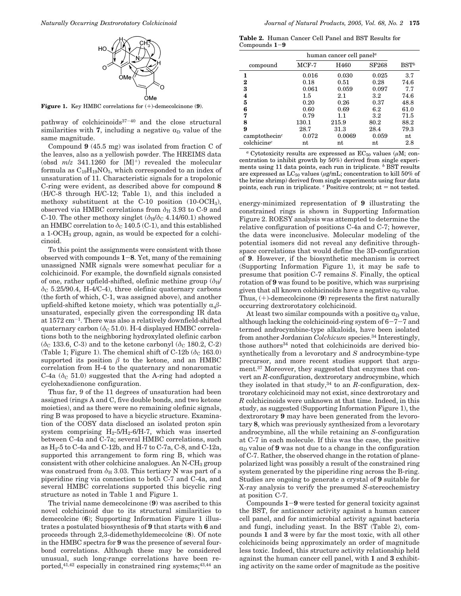

**Figure 1.** Key HMBC correlations for (+)-demecolcinone (**9**).

pathway of colchicinoids37-<sup>40</sup> and the close structural similarities with **7**, including a negative  $\alpha_D$  value of the same magnitude.

Compound **9** (45.5 mg) was isolated from fraction C of the leaves, also as a yellowish powder. The HREIMS data (obsd  $m/z$  341.1260 for  $[M]^+$ ) revealed the molecular formula as  $C_{19}H_{19}NO_5$ , which corresponded to an index of unsaturation of 11. Characteristic signals for a tropolonic C-ring were evident, as described above for compound **8** (H/C-8 through H/C-12; Table 1), and this included a methoxy substituent at the C-10 position (10-OCH3), observed via HMBC correlations from  $\delta_H$  3.93 to C-9 and C-10. The other methoxy singlet  $(\delta_H/\delta_C 4.14/60.1)$  showed an HMBC correlation to  $\delta$ <sub>C</sub> 140.5 (C-1), and this established a 1-OCH3 group, again, as would be expected for a colchicinoid.

To this point the assignments were consistent with those observed with compounds **<sup>1</sup>**-**8**. Yet, many of the remaining unassigned NMR signals were somewhat peculiar for a colchicinoid. For example, the downfield signals consisted of one, rather upfield-shifted, olefinic methine group  $(\delta_H)'$ *δ*<sup>C</sup> 5.25/90.4, H-4/C-4), three olefinic quaternary carbons (the forth of which, C-1, was assigned above), and another upfield-shifted ketone moiety, which was potentially  $\alpha$ , $\beta$ unsaturated, especially given the corresponding IR data at 1572 cm-1. There was also a relatively downfield-shifted quaternary carbon ( $\delta$ <sub>C</sub> 51.0). H-4 displayed HMBC correlations both to the neighboring hydroxylated olefinic carbon ( $\delta$ <sub>C</sub> 133.6, C-3) and to the ketone carbonyl ( $\delta$ <sub>C</sub> 180.2, C-2) (Table 1; Figure 1). The chemical shift of C-12b ( $\delta$ <sub>C</sub> 163.0) supported its position  $\beta$  to the ketone, and an HMBC correlation from H-4 to the quaternary and nonaromatic C-4a  $(\delta_C 51.0)$  suggested that the A-ring had adopted a cyclohexadienone configuration.

Thus far, 9 of the 11 degrees of unsaturation had been assigned (rings A and C, five double bonds, and two ketone moieties), and as there were no remaining olefinic signals, ring B was proposed to have a bicyclic structure. Examination of the COSY data disclosed an isolated proton spin system comprising  $H_2$ -5/ $H_2$ -6/H-7, which was inserted between C-4a and C-7a; several HMBC correlations, such as H2-5 to C-4a and C-12b, and H-7 to C-7a, C-8, and C-12a, supported this arrangement to form ring B, which was consistent with other colchicine analogues. An N-CH<sub>3</sub> group was construed from  $\delta_H$  3.03. This tertiary N was part of a piperidine ring via connection to both C-7 and C-4a, and several HMBC correlations supported this bicyclic ring structure as noted in Table 1 and Figure 1.

The trivial name demecolcinone (**9**) was ascribed to this novel colchicinoid due to its structural similarities to demecolcine (**6**); Supporting Information Figure 1 illustrates a postulated biosynthesis of **9** that starts with **6** and proceeds through 2,3-didemethyldemecolcine (**8**). Of note in the HMBC spectra for **9** was the presence of several fourbond correlations. Although these may be considered unusual, such long-range correlations have been reported,  $4^{1,42}$  especially in constrained ring systems;  $4^{3,44}$  an

**Table 2.** Human Cancer Cell Panel and BST Results for Compounds **<sup>1</sup>**-**<sup>9</sup>**

|                                        | human cancer cell panel <sup>a</sup> |        |         |         |
|----------------------------------------|--------------------------------------|--------|---------|---------|
| compound                               | $MCF-7$                              | H460   | SF268   | $BST^b$ |
| 1                                      | 0.016                                | 0.030  | 0.025   | 3.7     |
| 2                                      | 0.18                                 | 0.51   | 0.28    | 74.6    |
| 3                                      | 0.061                                | 0.059  | 0.097   | 7.7     |
| 4                                      | $1.5\,$                              | 2.1    | $3.2\,$ | 74.6    |
| 5                                      | 0.20                                 | 0.26   | 0.37    | 48.8    |
| 6                                      | 0.60                                 | 0.69   | 6.2     | 61.0    |
| 7                                      | 0.79                                 | 1.1    | $3.2\,$ | 71.5    |
| 8                                      | 130.1                                | 215.9  | 80.2    | 88.2    |
| 9                                      | 28.7                                 | 31.3   | 28.4    | 79.3    |
| camptothecin <sup><math>c</math></sup> | 0.072                                | 0.0069 | 0.059   | nt      |
| $\text{color}$                         | nt                                   | nt     | nt      | $2.8\,$ |

 $\overline{a}$  Cytotoxicity results are expressed as EC<sub>50</sub> values ( $\mu$ M; concentration to inhibit growth by 50%) derived from single experiments using 11 data points, each run in triplicate. *<sup>b</sup>* BST results are expressed as  $LC_{50}$  values ( $\mu$ g/mL; concentration to kill 50% of the brine shrimp) derived from single experiments using four data points, each run in triplicate.  $c$  Positive controls;  $nt = not$  tested.

energy-minimized representation of **9** illustrating the constrained rings is shown in Supporting Information Figure 2. ROESY analysis was attempted to determine the relative configuration of positions C-4a and C-7; however, the data were inconclusive. Molecular modeling of the potential isomers did not reveal any definitive throughspace correlations that would define the 3D-configuration of **9**. However, if the biosynthetic mechanism is correct (Supporting Information Figure 1), it may be safe to presume that position C-7 remains *S*. Finally, the optical rotation of **9** was found to be positive, which was surprising given that all known colchicinoids have a negative  $\alpha_D$  value. Thus, (+)-demecolcinone (**9**) represents the first naturally occurring dextrorotatory colchicinoid.

At least two similar compounds with a positive  $\alpha_D$  value, although lacking the colchicinoid-ring system of  $6-7-7$  and termed androcymbine-type alkaloids, have been isolated from another Jordanian *Colchicum* species.34 Interestingly, those authors<sup>34</sup> noted that colchicinoids are derived biosynthetically from a levorotary and *S* androcymbine-type precursor, and more recent studies support that argument.37 Moreover, they suggested that enzymes that convert an *R*-configuration, dextrorotary androcymbine, which they isolated in that study,<sup>34</sup> to an *R*-configuration, dextrorotary colchicinoid may not exist, since dextrorotary and *R* colchicinoids were unknown at that time. Indeed, in this study, as suggested (Supporting Information Figure 1), the dextrorotary **9** may have been generated from the levorotary **8**, which was previously synthesized from a levorotary androcymbine, all the while retaining an *S-*configuration at C-7 in each molecule. If this was the case, the positive  $\alpha_D$  value of **9** was not due to a change in the configuration of C-7. Rather, the observed change in the rotation of planepolarized light was possibly a result of the constrained ring system generated by the piperidine ring across the B-ring. Studies are ongoing to generate a crystal of **9** suitable for X-ray analysis to verify the presumed *S*-stereochemistry at position C-7.

Compounds **<sup>1</sup>**-**<sup>9</sup>** were tested for general toxicity against the BST, for anticancer activity against a human cancer cell panel, and for antimicrobial activity against bacteria and fungi, including yeast. In the BST (Table 2), compounds **1** and **3** were by far the most toxic, with all other colchicinoids being approximately an order of magnitude less toxic. Indeed, this structure activity relationship held against the human cancer cell panel, with **1** and **3** exhibiting activity on the same order of magnitude as the positive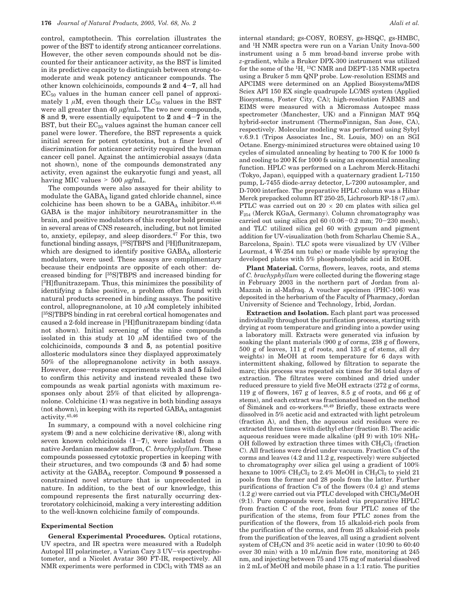control, camptothecin. This correlation illustrates the power of the BST to identify strong anticancer correlations. However, the other seven compounds should not be discounted for their anticancer activity, as the BST is limited in its predictive capacity to distinguish between strong-tomoderate and weak potency anticancer compounds. The other known colchicinoids, compounds **<sup>2</sup>** and **<sup>4</sup>**-**7**, all had  $EC_{50}$  values in the human cancer cell panel of approximately 1  $\mu$ M, even though their LC<sub>50</sub> values in the BST were all greater than 40 *µ*g/mL. The two new compounds, **<sup>8</sup>** and **<sup>9</sup>**, were essentially equipotent to **<sup>2</sup>** and **<sup>4</sup>**-**<sup>7</sup>** in the BST, but their  $EC_{50}$  values against the human cancer cell panel were lower. Therefore, the BST represents a quick initial screen for potent cytotoxins, but a finer level of discrimination for anticancer activity required the human cancer cell panel. Against the antimicrobial assays (data not shown), none of the compounds demonstrated any activity, even against the eukaryotic fungi and yeast, all having MIC values > <sup>500</sup> *<sup>µ</sup>*g/mL.

The compounds were also assayed for their ability to modulate the GABAA ligand gated chloride channel, since colchicine has been shown to be a  $GABA_A$  inhibitor.<sup>45,46</sup> GABA is the major inhibitory neurotransmitter in the brain, and positive modulators of this receptor hold promise in several areas of CNS research, including, but not limited to, anxiety, epilepsy, and sleep disorders.47 For this, two functional binding assays, [35S]TBPS and [3H]flunitrazepam, which are designed to identify positive  $GABA_A$  allosteric modulators, were used. These assays are complimentary because their endpoints are opposite of each other: decreased binding for [35S]TBPS and increased binding for [3H]flunitrazepam. Thus, this minimizes the possibility of identifying a false positive, a problem often found with natural products screened in binding assays. The positive control, allopregnanolone, at 10 *µ*M completely inhibited [35S]TBPS binding in rat cerebral cortical homogenates and caused a 2-fold increase in [3H]flunitrazepam binding (data not shown). Initial screening of the nine compounds isolated in this study at 10 *µ*M identified two of the colchicinoids, compounds **3** and **5**, as potential positive allosteric modulators since they displayed approximately 50% of the allopregnanolone activity in both assays. However, dose-response experiments with **<sup>3</sup>** and **<sup>5</sup>** failed to confirm this activity and instead revealed these two compounds as weak partial agonists with maximum responses only about 25% of that elicited by alloprenganolone. Colchicine (**1**) was negative in both binding assays  $($ not shown $)$ , in keeping with its reported  $GABA_A$  antagonist activity.45,46

In summary, a compound with a novel colchicine ring system (**9**) and a new colchicine derivative (**8**), along with seven known colchicinoids  $(1-7)$ , were isolated from a native Jordanian meadow saffron, *C. brachyphyllum*. These compounds possessed cytotoxic properties in keeping with their structures, and two compounds (**3** and **5**) had some activity at the GABA<sub>A</sub> receptor. Compound 9 possessed a constrained novel structure that is unprecedented in nature. In addition, to the best of our knowledge, this compound represents the first naturally occurring dextrorotatory colchicinoid, making a very interesting addition to the well-known colchicine family of compounds.

## **Experimental Section**

**General Experimental Procedures.** Optical rotations, UV spectra, and IR spectra were measured with a Rudolph Autopol III polarimeter, a Varian Cary 3 UV-vis spectrophotometer, and a Nicolet Avatar 360 FT-IR, respectively. All NMR experiments were performed in CDCl<sub>3</sub> with TMS as an

internal standard; gs-COSY, ROESY, gs-HSQC, gs-HMBC, and 1H NMR spectra were run on a Varian Unity Inova-500 instrument using a 5 mm broad-band inverse probe with *z*-gradient, while a Bruker DPX-300 instrument was utilized for the some of the 1H, 13C NMR and DEPT-135 NMR spectra using a Bruker 5 mm QNP probe. Low-resolution ESIMS and APCIMS were determined on an Applied Biosystems/MDS Sciex API 150 EX single quadrupole LC/MS system (Applied Biosystems, Foster City, CA); high-resolution FABMS and EIMS were measured with a Micromass Autospec mass spectrometer (Manchester, UK) and a Finnigan MAT 95Q hybrid-sector instrument (ThermoFinnigan, San Jose, CA), respectively. Molecular modeling was performed using Sybyl v.6.9.1 (Tripos Associates Inc., St. Louis, MO) on an SGI Octane. Energy-minimized structures were obtained using 10 cycles of simulated annealing by heating to 700 K for 1000 fs and cooling to 200 K for 1000 fs using an exponential annealing function. HPLC was performed on a Lachrom Merck-Hitachi (Tokyo, Japan), equipped with a quaternary gradient L-7150 pump, L-7455 diode-array detector, L-7200 autosampler, and D-7000 interface. The preparative HPLC column was a Hibar Merck prepacked column RT 250-25, Lichrosorb RP-18 (7 *µ*m). PTLC was carried out on  $20 \times 20$  cm plates with silica gel F254 (Merck KGaA, Germany). Column chromatography was carried out using silica gel  $60 (0.06-0.2 \text{ mm}; 70-230 \text{ mesh})$ , and TLC utilized silica gel 60 with gypsum and pigment addition for UV-visualization (both from Scharlau Chemie S.A., Barcelona, Spain). TLC spots were visualized by UV (Vilber Lourmat, 4 W-254 nm tube) or made visible by spraying the developed plates with 5% phosphomolybdic acid in EtOH.

**Plant Material.** Corms, flowers, leaves, roots, and stems of *C. brachyphyllum* were collected during the flowering stage in February 2003 in the northern part of Jordan from al-Mazzah in al-Mafraq. A voucher specimen (PHC-106) was deposited in the herbarium of the Faculty of Pharmacy, Jordan University of Science and Technology, Irbid, Jordan.

**Extraction and Isolation.** Each plant part was processed individually throughout the purification process, starting with drying at room temperature and grinding into a powder using a laboratory mill. Extracts were generated via infusion by soaking the plant materials (900 g of corms, 238 g of flowers, 500 g of leaves, 111 g of roots, and 135 g of stems, all dry weights) in MeOH at room temperature for 6 days with intermittent shaking, followed by filtration to separate the marc; this process was repeated six times for 36 total days of extraction. The filtrates were combined and dried under reduced pressure to yield five MeOH extracts (272 g of corms, 119 g of flowers, 167 g of leaves, 8.5 g of roots, and 66 g of stems), and each extract was fractionated based on the method of Šimánek and co-workers.<sup>48,49</sup> Briefly, these extracts were dissolved in 5% acetic acid and extracted with light petroleum (fraction A), and then, the aqueous acid residues were reextracted three times with diethyl ether (fraction B). The acidic aqueous residues were made alkaline ( $pH$  9) with 10% NH<sub>4</sub>-OH followed by extraction three times with  $CH_2Cl_2$  (fraction C). All fractions were dried under vacuum. Fraction C's of the corms and leaves (4.2 and 11.2 g, respectively) were subjected to chromatography over silica gel using a gradient of 100% hexane to 100%  $CH_2Cl_2$  to 2.4% MeOH in  $CH_2Cl_2$  to yield 21 pools from the former and 28 pools from the latter. Further purifications of fraction C's of the flowers  $(0.4 \text{ g})$  and stems  $(1.2 g)$  were carried out via PTLC developed with CHCl<sub>3</sub>/MeOH (9:1). Pure compounds were isolated via preparative HPLC from fraction C of the root, from four PTLC zones of the purification of the stems, from four PTLC zones from the purification of the flowers, from 15 alkaloid-rich pools from the purification of the corms, and from 25 alkaloid-rich pools from the purification of the leaves, all using a gradient solvent system of CH3CN and 3% acetic acid in water (10:90 to 60:40 over 30 min) with a 10 mL/min flow rate, monitoring at 245 nm, and injecting between 75 and 175 mg of material dissolved in 2 mL of MeOH and mobile phase in a 1:1 ratio. The purities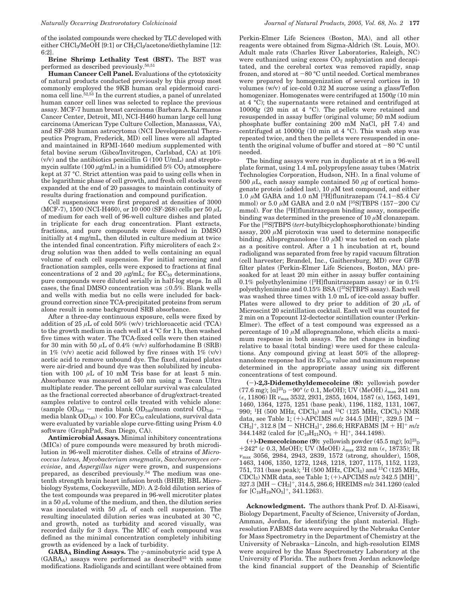of the isolated compounds were checked by TLC developed with either CHCl<sub>3</sub>/MeOH [9:1] or CH<sub>2</sub>Cl<sub>2</sub>/acetone/diethylamine [12: 6:2].

**Brine Shrimp Lethality Test (BST).** The BST was performed as described previously.50,51

**Human Cancer Cell Panel.** Evaluations of the cytotoxicity of natural products conducted previously by this group most commonly employed the 9KB human oral epidermoid carcinoma cell line.52,53 In the current studies, a panel of unrelated human cancer cell lines was selected to replace the previous assay. MCF-7 human breast carcinoma (Barbara A. Karmanos Cancer Center, Detroit, MI), NCI-H460 human large cell lung carcinoma (American Type Culture Collection, Manassas, VA), and SF-268 human astrocytoma (NCI Developmental Therapeutics Program, Frederick, MD) cell lines were all adapted and maintained in RPMI-1640 medium supplemented with fetal bovine serum (Gibco/Invitrogen, Carlsbad, CA) at 10% (v/v) and the antibiotics penicillin G (100 U/mL) and streptomycin sulfate (100  $\mu$ g/mL) in a humidified 5%  $CO_2$  atmosphere kept at 37 °C. Strict attention was paid to using cells when in the logarithmic phase of cell growth, and fresh cell stocks were expanded at the end of 20 passages to maintain continuity of results during fractionation and compound purification.

Cell suspensions were first prepared at densities of 3000 (MCF-7), 1500 (NCI-H460), or 10 000 (SF-268) cells per 50 *µ*L of medium for each well of 96-well culture dishes and plated in triplicate for each drug concentration. Plant extracts, fractions, and pure compounds were dissolved in DMSO initially at 4 mg/mL, then diluted in culture medium at twice the intended final concentration. Fifty microliters of each  $2\times$ drug solution was then added to wells containing an equal volume of each cell suspension. For initial screening and fractionation samples, cells were exposed to fractions at final concentrations of 2 and 20  $\mu$ g/mL; for EC<sub>50</sub> determinations, pure compounds were diluted serially in half-log steps. In all cases, the final DMSO concentration was  $\leq 0.5\%$ . Blank wells and wells with media but no cells were included for background correction since TCA-precipitated proteins from serum alone result in some background SRB absorbance.

After a three-day continuous exposure, cells were fixed by addition of 25 *µ*L of cold 50% (w/v) trichloroacetic acid (TCA) to the growth medium in each well at 4 °C for 1 h, then washed five times with water. The TCA-fixed cells were then stained for 30 min with 50  $\mu$ L of 0.4% (w/v) sulforhodamine B (SRB) in 1%  $(v/v)$  acetic acid followed by five rinses with 1%  $(v/v)$ acetic acid to remove unbound dye. The fixed, stained plates were air-dried and bound dye was then solubilized by incubation with 100 *µ*L of 10 mM Tris base for at least 5 min. Absorbance was measured at 540 nm using a Tecan Ultra multiplate reader. The percent cellular survival was calculated as the fractional corrected absorbance of drug/extract-treated samples relative to control cells treated with vehicle alone: (sample  $OD_{540}$  – media blank  $OD_{540}/$ mean control  $OD_{540}$  media blank  $OD_{540}$  × 100. For  $EC_{50}$  calculations, survival data were evaluated by variable slope curve-fitting using Prism 4.0 software (GraphPad, San Diego, CA).

**Antimicrobial Assays.** Minimal inhibitory concentrations (MICs) of pure compounds were measured by broth microdilution in 96-well microtiter dishes. Cells of strains of *Micrococcus luteus, Mycobacterium smegmatis*, *Saccharomyces cerevisiae*, and *Aspergillus niger* were grown, and suspensions prepared, as described previously.<sup>54</sup> The medium was onetenth strength brain heart infusion broth (BHIB; BBL Microbiology Systems, Cockeysville, MD). A 2-fold dilution series of the test compounds was prepared in 96-well microtiter plates in a 50 *µ*L volume of the medium, and then, the dilution series was inoculated with 50 *µ*L of each cell suspension. The resulting inoculated dilution series was incubated at 30 °C, and growth, noted as turbidity and scored visually, was recorded daily for 3 days. The MIC of each compound was defined as the minimal concentration completely inhibiting growth as evidenced by a lack of turbidity.

**GABAA Binding Assays.** The *γ*-aminobutyric acid type A  $(GABA_A)$  assays were performed as described<sup>55</sup> with some modifications. Radioligands and scintillant were obtained from Perkin-Elmer Life Sciences (Boston, MA), and all other reagents were obtained from Sigma-Aldrich (St. Louis, MO). Adult male rats (Charles River Laboratories, Raleigh, NC) were euthanized using excess  $CO<sub>2</sub>$  asphyxiation and decapitated, and the cerebral cortex was removed rapidly, snap frozen, and stored at -80 °C until needed. Cortical membranes were prepared by homogenization of several cortices in 10 volumes (w/v) of ice-cold 0.32 M sucrose using a glass/Teflon homogenizer. Homogenates were centrifuged at 1500*g* (10 min at 4 °C); the supernatants were retained and centrifuged at 10000*g* (20 min at 4 °C). The pellets were retained and resuspended in assay buffer (original volume; 50 mM sodium phosphate buffer containing 200 mM NaCl, pH 7.4) and centrifuged at 10000*g* (10 min at 4 °C). This wash step was repeated twice, and then the pellets were resuspended in onetenth the original volume of buffer and stored at  $-80$  °C until needed.

The binding assays were run in duplicate at rt in a 96-well plate format, using 1.4 mL polypropylene assay tubes (Matrix Technologies Corporation, Hudson, NH). In a final volume of 500  $\mu$ L, each assay sample contained 50  $\mu$ g of cortical homogenate protein (added last), 10 *µ*M test compound, and either 1.0  $\mu$ M GABA and 1.0 nM <sup>[3</sup>H]flunitrazepam (74.1-85.4 Ci/ mmol) or 5.0 μM GABA and 2.0 nM [<sup>35</sup>S]TBPS (157-200 Ci/ mmol). For the [3H]flunitrazepam binding assay, nonspecific binding was determined in the presence of 10 *µ*M clonazepam. For the [35S]TBPS (*tert*-butylbicyclophosphorothionate) binding assay,  $200 \mu M$  picrotoxin was used to determine nonspecific binding. Allopregnanolone (10 *µ*M) was tested on each plate as a positive control. After a 1 h incubation at rt, bound radioligand was separated from free by rapid vacuum filtration (cell harvester; Brandel, Inc., Gaithersburg, MD) over GF/B filter plates (Perkin-Elmer Life Sciences, Boston, MA) presoaked for at least 20 min either in assay buffer containing 0.1% polyethylenimine ([ $3H$ ]flunitrazepam assay) or in 0.1% polyethylenimine and 0.15% BSA ([35S]TBPS assay). Each well was washed three times with 1.0 mL of ice-cold assay buffer. Plates were allowed to dry prior to addition of 20 *µ*L of Microscint 20 scintillation cocktail. Each well was counted for 2 min on a Topcount 12-dectector scintillation counter (Perkin-Elmer). The effect of a test compound was expressed as a percentage of 10 *µ*M allopregnanolone, which elicits a maximum response in both assays. The net changes in binding relative to basal (total binding) were used for these calculations. Any compound giving at least 50% of the allopregnanolone response had its  $EC_{50}$  value and maximum response determined in the appropriate assay using six different concentrations of test compound.

**(**-**)-2,3-Didemethyldemecolcine (8):** yellowish powder (77.6 mg);  $[\alpha]^{23}$ <sub>D</sub> -90° (*c* 0.1, MeOH); UV (MeOH)  $\lambda_{\text{max}}$  241 nm (, 11806) IR *ν*max 3532, 2931, 2855, 1604, 1587 (s), 1563, 1491, 1460, 1364, 1275, 1251 (base peak), 1196, 1182, 1131, 1067, 990; 1H (500 MHz, CDCl3) and 13C (125 MHz, CDCl3) NMR data, see Table 1; (+)-APCIMS *<sup>m</sup>*/*<sup>z</sup>* 344.5 [MH]+, 329.5 [M -  $CH_3$ <sup>+</sup>, 312.8 [M – NHCH<sub>3</sub>]<sup>+</sup>, 286.6; HRFABMS [M + H]<sup>+</sup> m/z 344.1482 (calcd for  $[C_{19}H_{21}NO_5 + H]^+$ , 344.1498).

(+)**-Demecolcinone (9):** yellowish powder (45.5 mg);  $[\alpha]^{23}$ <sub>D</sub><br>242° (c 0.3 MeOH); UV (MeOH)  $\lambda_{\text{max}}$  232 nm (e 18735); IR +242° (*c* 0.3, MeOH); UV (MeOH)  $\lambda_{\text{max}}$  232 nm (*ε*, 18735); IR  $\nu_{\text{max}}$  3056, 2984, 2943, 2839, 1572 (strong, shoulder), 1508, 1463, 1406, 1350, 1272, 1248, 1218, 1207, 1175, 1152, 1123, 751, 731 (base peak); <sup>1</sup>H (500 MHz, CDCl<sub>3</sub>) and <sup>13</sup>C (125 MHz, CDCl3) NMR data, see Table 1; (+)-APCIMS *<sup>m</sup>*/*<sup>z</sup>* 342.5 [MH]+, 327.3 [MH - CH3] <sup>+</sup>, 314.5, 286.6; HREIMS *m*/*z* 341.1260 (calcd for  $[C_{19}H_{19}NO_5]^+$ , 341.1263).

**Acknowledgment.** The authors thank Prof. D. Al-Eisawi, Biology Department, Faculty of Science, University of Jordan, Amman, Jordan, for identifying the plant material. Highresolution FABMS data were acquired by the Nebraska Center for Mass Spectrometry in the Department of Chemistry at the University of Nebraska-Lincoln, and high-resolution EIMS were acquired by the Mass Spectrometry Laboratory at the University of Florida. The authors from Jordan acknowledge the kind financial support of the Deanship of Scientific